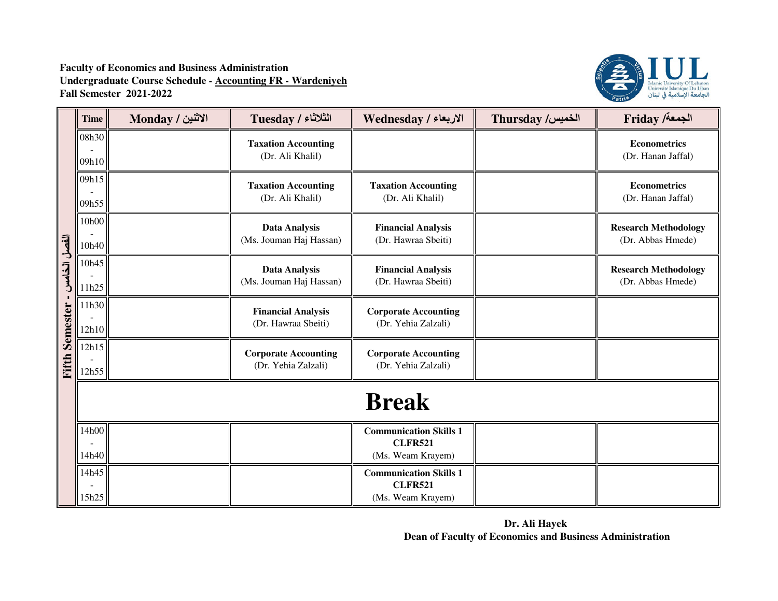

|                       | <b>Time</b>    | الاثنين / Monday | الثلاثاء / Tuesday                                 | الاربعاء / Wednesday                                                 | <b>Thursday /الخميس</b> | Friday /الجمعة                                   |  |
|-----------------------|----------------|------------------|----------------------------------------------------|----------------------------------------------------------------------|-------------------------|--------------------------------------------------|--|
|                       | 08h30<br>09h10 |                  | <b>Taxation Accounting</b><br>(Dr. Ali Khalil)     |                                                                      |                         | <b>Econometrics</b><br>(Dr. Hanan Jaffal)        |  |
|                       | 09h15<br>09h55 |                  | <b>Taxation Accounting</b><br>(Dr. Ali Khalil)     | <b>Taxation Accounting</b><br>(Dr. Ali Khalil)                       |                         | <b>Econometrics</b><br>(Dr. Hanan Jaffal)        |  |
|                       | 10h00<br>10h40 |                  | <b>Data Analysis</b><br>(Ms. Jouman Haj Hassan)    | <b>Financial Analysis</b><br>(Dr. Hawraa Sbeiti)                     |                         | <b>Research Methodology</b><br>(Dr. Abbas Hmede) |  |
| القصل الخامس          | 10h45<br>11h25 |                  | <b>Data Analysis</b><br>(Ms. Jouman Haj Hassan)    | <b>Financial Analysis</b><br>(Dr. Hawraa Sbeiti)                     |                         | <b>Research Methodology</b><br>(Dr. Abbas Hmede) |  |
|                       | 11h30<br>12h10 |                  | <b>Financial Analysis</b><br>(Dr. Hawraa Sbeiti)   | <b>Corporate Accounting</b><br>(Dr. Yehia Zalzali)                   |                         |                                                  |  |
| <b>Fifth Semester</b> | 12h15<br>12h55 |                  | <b>Corporate Accounting</b><br>(Dr. Yehia Zalzali) | <b>Corporate Accounting</b><br>(Dr. Yehia Zalzali)                   |                         |                                                  |  |
|                       | <b>Break</b>   |                  |                                                    |                                                                      |                         |                                                  |  |
|                       | 14h00<br>14h40 |                  |                                                    | <b>Communication Skills 1</b><br><b>CLFR521</b><br>(Ms. Weam Krayem) |                         |                                                  |  |
|                       | 14h45<br>15h25 |                  |                                                    | <b>Communication Skills 1</b><br><b>CLFR521</b><br>(Ms. Weam Krayem) |                         |                                                  |  |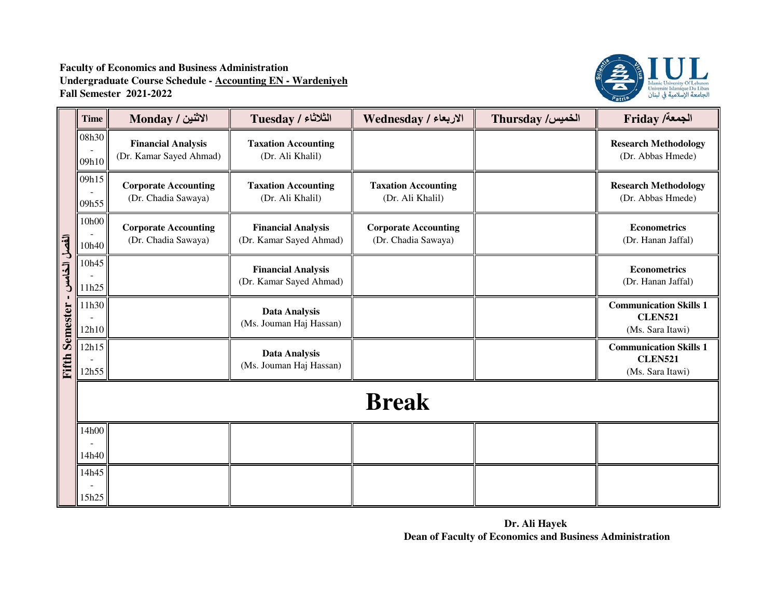

|                       | <b>Time</b>    | الاثنين / Monday                                     | الثلاثاء / Tuesday                                   | الاربعاء / Wednesday                               | Thursday /الخميس | Friday /ألجمعة                                                      |  |  |
|-----------------------|----------------|------------------------------------------------------|------------------------------------------------------|----------------------------------------------------|------------------|---------------------------------------------------------------------|--|--|
|                       | 08h30<br>09h10 | <b>Financial Analysis</b><br>(Dr. Kamar Sayed Ahmad) | <b>Taxation Accounting</b><br>(Dr. Ali Khalil)       |                                                    |                  | <b>Research Methodology</b><br>(Dr. Abbas Hmede)                    |  |  |
|                       | 09h15<br>09h55 | <b>Corporate Accounting</b><br>(Dr. Chadia Sawaya)   | <b>Taxation Accounting</b><br>(Dr. Ali Khalil)       | <b>Taxation Accounting</b><br>(Dr. Ali Khalil)     |                  | <b>Research Methodology</b><br>(Dr. Abbas Hmede)                    |  |  |
|                       | 10h00<br>10h40 | <b>Corporate Accounting</b><br>(Dr. Chadia Sawaya)   | <b>Financial Analysis</b><br>(Dr. Kamar Sayed Ahmad) | <b>Corporate Accounting</b><br>(Dr. Chadia Sawaya) |                  | <b>Econometrics</b><br>(Dr. Hanan Jaffal)                           |  |  |
| الفصل الخامس          | 10h45<br>11h25 |                                                      | <b>Financial Analysis</b><br>(Dr. Kamar Sayed Ahmad) |                                                    |                  | <b>Econometrics</b><br>(Dr. Hanan Jaffal)                           |  |  |
|                       | 11h30<br>12h10 |                                                      | <b>Data Analysis</b><br>(Ms. Jouman Haj Hassan)      |                                                    |                  | <b>Communication Skills 1</b><br><b>CLEN521</b><br>(Ms. Sara Itawi) |  |  |
| <b>Fifth Semester</b> | 12h15<br>12h55 |                                                      | <b>Data Analysis</b><br>(Ms. Jouman Haj Hassan)      |                                                    |                  | <b>Communication Skills 1</b><br><b>CLEN521</b><br>(Ms. Sara Itawi) |  |  |
|                       | <b>Break</b>   |                                                      |                                                      |                                                    |                  |                                                                     |  |  |
|                       | 14h00<br>14h40 |                                                      |                                                      |                                                    |                  |                                                                     |  |  |
|                       | 14h45<br>15h25 |                                                      |                                                      |                                                    |                  |                                                                     |  |  |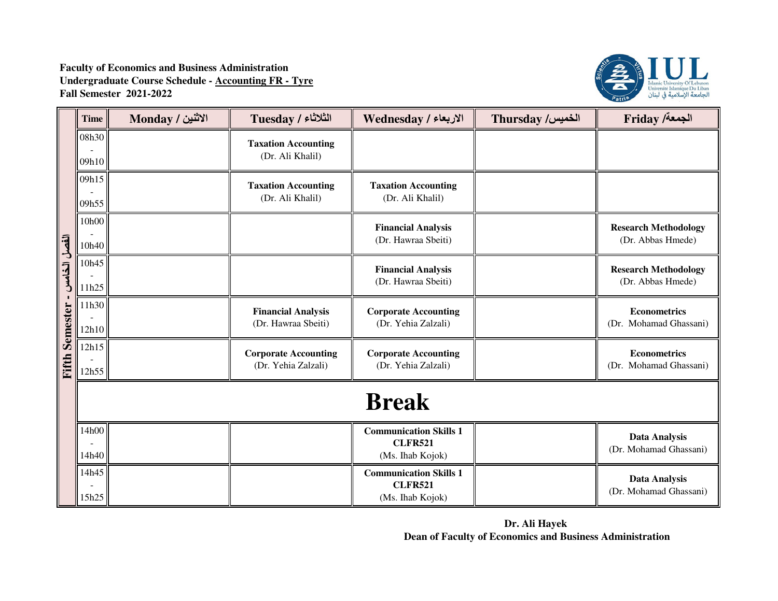

|              | <b>Time</b>    | الاثنين / Monday | <b>Tuesday / الثلاثاء</b>                          | الاربعاء / Wednesday                                                | Thursday /الخميس | Friday /ألجمعة                                   |  |  |
|--------------|----------------|------------------|----------------------------------------------------|---------------------------------------------------------------------|------------------|--------------------------------------------------|--|--|
|              | 08h30<br>09h10 |                  | <b>Taxation Accounting</b><br>(Dr. Ali Khalil)     |                                                                     |                  |                                                  |  |  |
|              | 09h15<br>09h55 |                  | <b>Taxation Accounting</b><br>(Dr. Ali Khalil)     | <b>Taxation Accounting</b><br>(Dr. Ali Khalil)                      |                  |                                                  |  |  |
|              | 10h00<br>10h40 |                  |                                                    | <b>Financial Analysis</b><br>(Dr. Hawraa Sbeiti)                    |                  | <b>Research Methodology</b><br>(Dr. Abbas Hmede) |  |  |
| الفصل الخامس | 10h45<br>11h25 |                  |                                                    | <b>Financial Analysis</b><br>(Dr. Hawraa Sbeiti)                    |                  | <b>Research Methodology</b><br>(Dr. Abbas Hmede) |  |  |
| Semester     | 11h30<br>12h10 |                  | <b>Financial Analysis</b><br>(Dr. Hawraa Sbeiti)   | <b>Corporate Accounting</b><br>(Dr. Yehia Zalzali)                  |                  | <b>Econometrics</b><br>(Dr. Mohamad Ghassani)    |  |  |
| Fifth        | 12h15<br>12h55 |                  | <b>Corporate Accounting</b><br>(Dr. Yehia Zalzali) | <b>Corporate Accounting</b><br>(Dr. Yehia Zalzali)                  |                  | <b>Econometrics</b><br>(Dr. Mohamad Ghassani)    |  |  |
|              | <b>Break</b>   |                  |                                                    |                                                                     |                  |                                                  |  |  |
|              | 14h00<br>14h40 |                  |                                                    | <b>Communication Skills 1</b><br><b>CLFR521</b><br>(Ms. Ihab Kojok) |                  | <b>Data Analysis</b><br>(Dr. Mohamad Ghassani)   |  |  |
|              | 14h45<br>15h25 |                  |                                                    | <b>Communication Skills 1</b><br><b>CLFR521</b><br>(Ms. Ihab Kojok) |                  | <b>Data Analysis</b><br>(Dr. Mohamad Ghassani)   |  |  |

**Dr. Ali Hayek Dean of Faculty of Economics and Business Administration**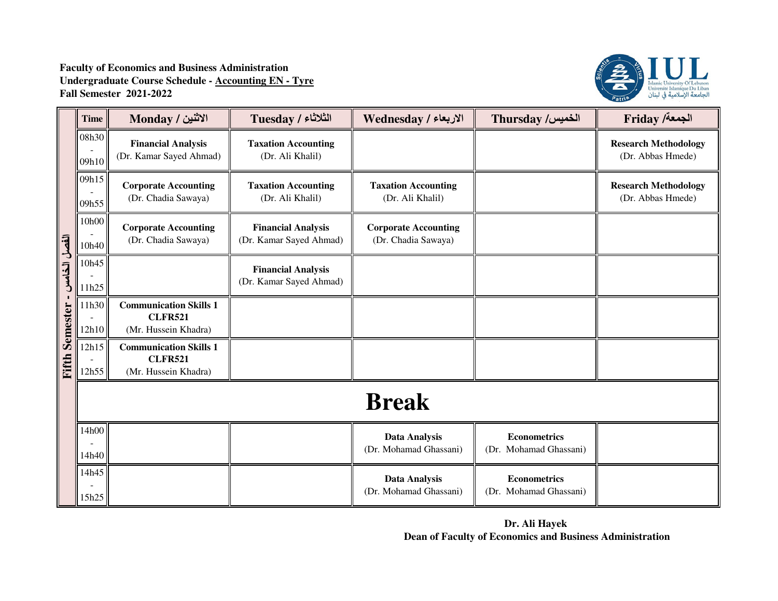

|              | <b>Time</b>    | الاثنين / Monday                                                        | الثلاثاء / Tuesday                                   | الاربعاء / Wednesday                               | Thursday /الخميس                              | Friday /ألجمعة                                   |  |  |
|--------------|----------------|-------------------------------------------------------------------------|------------------------------------------------------|----------------------------------------------------|-----------------------------------------------|--------------------------------------------------|--|--|
|              | 08h30<br>09h10 | <b>Financial Analysis</b><br>(Dr. Kamar Sayed Ahmad)                    | <b>Taxation Accounting</b><br>(Dr. Ali Khalil)       |                                                    |                                               | <b>Research Methodology</b><br>(Dr. Abbas Hmede) |  |  |
|              | 09h15<br>09h55 | <b>Corporate Accounting</b><br>(Dr. Chadia Sawaya)                      | <b>Taxation Accounting</b><br>(Dr. Ali Khalil)       | <b>Taxation Accounting</b><br>(Dr. Ali Khalil)     |                                               | <b>Research Methodology</b><br>(Dr. Abbas Hmede) |  |  |
|              | 10h00<br>10h40 | <b>Corporate Accounting</b><br>(Dr. Chadia Sawaya)                      | <b>Financial Analysis</b><br>(Dr. Kamar Sayed Ahmad) | <b>Corporate Accounting</b><br>(Dr. Chadia Sawaya) |                                               |                                                  |  |  |
| القصل الخامس | 10h45<br>11h25 |                                                                         | <b>Financial Analysis</b><br>(Dr. Kamar Sayed Ahmad) |                                                    |                                               |                                                  |  |  |
| Semester     | 11h30<br>12h10 | <b>Communication Skills 1</b><br><b>CLFR521</b><br>(Mr. Hussein Khadra) |                                                      |                                                    |                                               |                                                  |  |  |
| Fifth        | 12h15<br>12h55 | <b>Communication Skills 1</b><br><b>CLFR521</b><br>(Mr. Hussein Khadra) |                                                      |                                                    |                                               |                                                  |  |  |
|              | <b>Break</b>   |                                                                         |                                                      |                                                    |                                               |                                                  |  |  |
|              | 14h00<br>14h40 |                                                                         |                                                      | Data Analysis<br>(Dr. Mohamad Ghassani)            | <b>Econometrics</b><br>(Dr. Mohamad Ghassani) |                                                  |  |  |
|              | 14h45<br>15h25 |                                                                         |                                                      | <b>Data Analysis</b><br>(Dr. Mohamad Ghassani)     | <b>Econometrics</b><br>(Dr. Mohamad Ghassani) |                                                  |  |  |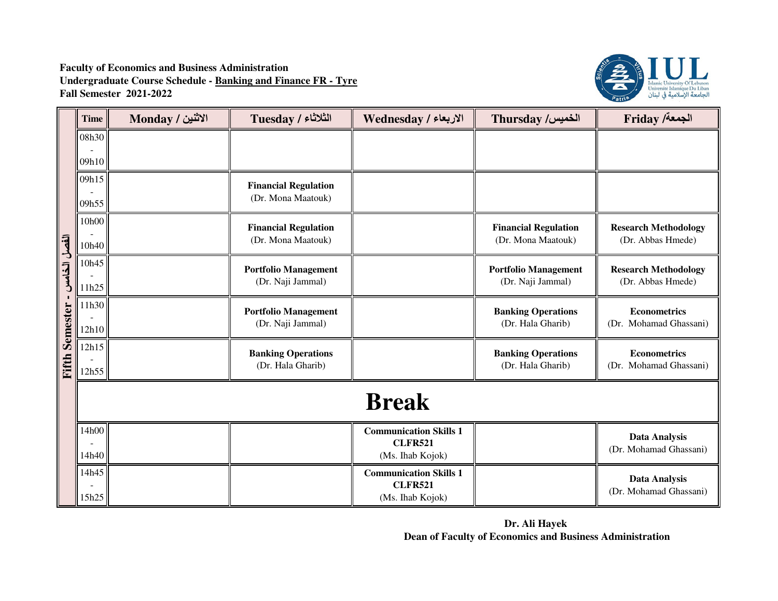

|                       | <b>Time</b>    | الاثنين / Monday | الثلاثاء / Tuesday                                | الاربعاء / Wednesday                                                | Thursday /الخميس                                  | <b>Friday /خمعة</b> /                            |  |  |
|-----------------------|----------------|------------------|---------------------------------------------------|---------------------------------------------------------------------|---------------------------------------------------|--------------------------------------------------|--|--|
|                       | 08h30          |                  |                                                   |                                                                     |                                                   |                                                  |  |  |
|                       | 09h10          |                  |                                                   |                                                                     |                                                   |                                                  |  |  |
|                       | 09h15<br>09h55 |                  | <b>Financial Regulation</b><br>(Dr. Mona Maatouk) |                                                                     |                                                   |                                                  |  |  |
|                       | 10h00<br>10h40 |                  | <b>Financial Regulation</b><br>(Dr. Mona Maatouk) |                                                                     | <b>Financial Regulation</b><br>(Dr. Mona Maatouk) | <b>Research Methodology</b><br>(Dr. Abbas Hmede) |  |  |
| الفصل الخامس          | 10h45<br>11h25 |                  | <b>Portfolio Management</b><br>(Dr. Naji Jammal)  |                                                                     | <b>Portfolio Management</b><br>(Dr. Naji Jammal)  | <b>Research Methodology</b><br>(Dr. Abbas Hmede) |  |  |
|                       | 11h30<br>12h10 |                  | <b>Portfolio Management</b><br>(Dr. Naji Jammal)  |                                                                     | <b>Banking Operations</b><br>(Dr. Hala Gharib)    | <b>Econometrics</b><br>(Dr. Mohamad Ghassani)    |  |  |
| <b>Fifth Semester</b> | 12h15<br>12h55 |                  | <b>Banking Operations</b><br>(Dr. Hala Gharib)    |                                                                     | <b>Banking Operations</b><br>(Dr. Hala Gharib)    | <b>Econometrics</b><br>(Dr. Mohamad Ghassani)    |  |  |
|                       | <b>Break</b>   |                  |                                                   |                                                                     |                                                   |                                                  |  |  |
|                       | 14h00<br>14h40 |                  |                                                   | <b>Communication Skills 1</b><br><b>CLFR521</b><br>(Ms. Ihab Kojok) |                                                   | <b>Data Analysis</b><br>(Dr. Mohamad Ghassani)   |  |  |
|                       | 14h45<br>15h25 |                  |                                                   | <b>Communication Skills 1</b><br><b>CLFR521</b><br>(Ms. Ihab Kojok) |                                                   | <b>Data Analysis</b><br>(Dr. Mohamad Ghassani)   |  |  |

**Dr. Ali Hayek Dean of Faculty of Economics and Business Administration**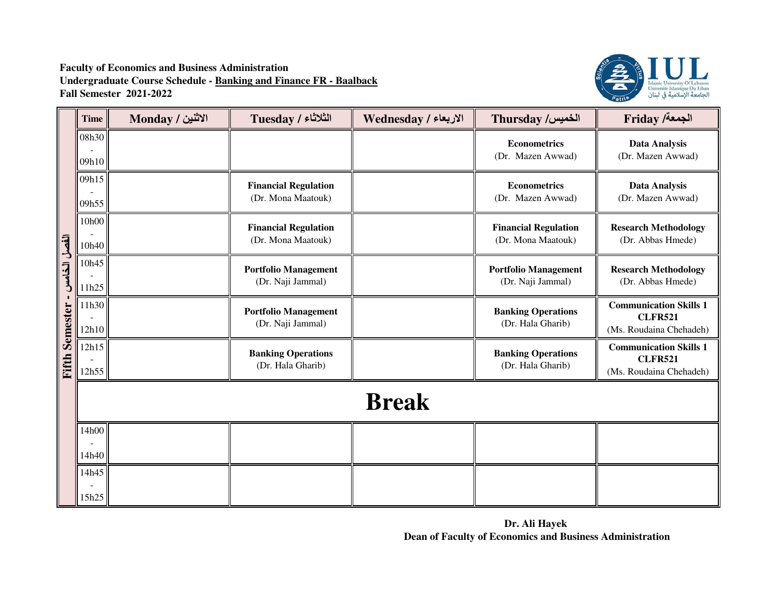**Faculty of Economics and Business Administration Undergraduate Course Schedule - Banking and Finance FR - BaalbackFall Semester 2021-2022**



|                       | Time           | الاثنين / Monday | الثلاثاء / Tuesday                                | الاربعاء / Wednesday | Thursday /الخميس                                  | Friday /أجمعة                                                              |  |
|-----------------------|----------------|------------------|---------------------------------------------------|----------------------|---------------------------------------------------|----------------------------------------------------------------------------|--|
|                       | 08h30<br>09h10 |                  |                                                   |                      | <b>Econometrics</b><br>(Dr. Mazen Awwad)          | <b>Data Analysis</b><br>(Dr. Mazen Awwad)                                  |  |
|                       | 09h15<br>09h55 |                  | <b>Financial Regulation</b><br>(Dr. Mona Maatouk) |                      | <b>Econometrics</b><br>(Dr. Mazen Awwad)          | <b>Data Analysis</b><br>(Dr. Mazen Awwad)                                  |  |
|                       | 10h00<br>10h40 |                  | <b>Financial Regulation</b><br>(Dr. Mona Maatouk) |                      | <b>Financial Regulation</b><br>(Dr. Mona Maatouk) | <b>Research Methodology</b><br>(Dr. Abbas Hmede)                           |  |
| الفصل الخامس          | 10h45<br>11h25 |                  | <b>Portfolio Management</b><br>(Dr. Naji Jammal)  |                      | <b>Portfolio Management</b><br>(Dr. Naji Jammal)  | <b>Research Methodology</b><br>(Dr. Abbas Hmede)                           |  |
|                       | 11h30<br>12h10 |                  | <b>Portfolio Management</b><br>(Dr. Naji Jammal)  |                      | <b>Banking Operations</b><br>(Dr. Hala Gharib)    | <b>Communication Skills 1</b><br><b>CLFR521</b><br>(Ms. Roudaina Chehadeh) |  |
| <b>Fifth Semester</b> | 12h15<br>12h55 |                  | <b>Banking Operations</b><br>(Dr. Hala Gharib)    |                      | <b>Banking Operations</b><br>(Dr. Hala Gharib)    | <b>Communication Skills 1</b><br><b>CLFR521</b><br>(Ms. Roudaina Chehadeh) |  |
|                       | <b>Break</b>   |                  |                                                   |                      |                                                   |                                                                            |  |
|                       | 14h00<br>14h40 |                  |                                                   |                      |                                                   |                                                                            |  |
|                       | 14h45<br>15h25 |                  |                                                   |                      |                                                   |                                                                            |  |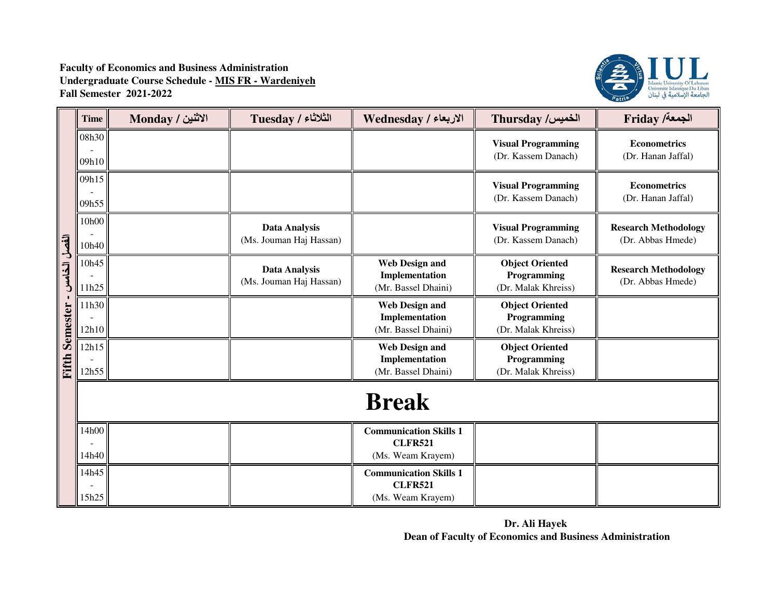

|                       | <b>Time</b>    | الاثنين / Monday | الثلاثاء / Tuesday                              | الاربعاء / Wednesday                                                 | Thursday /الخميس                                             | <b>Friday /خمعة</b>                              |
|-----------------------|----------------|------------------|-------------------------------------------------|----------------------------------------------------------------------|--------------------------------------------------------------|--------------------------------------------------|
|                       | 08h30<br>09h10 |                  |                                                 |                                                                      | <b>Visual Programming</b><br>(Dr. Kassem Danach)             | <b>Econometrics</b><br>(Dr. Hanan Jaffal)        |
|                       | 09h15<br>09h55 |                  |                                                 |                                                                      | <b>Visual Programming</b><br>(Dr. Kassem Danach)             | <b>Econometrics</b><br>(Dr. Hanan Jaffal)        |
|                       | 10h00<br>10h40 |                  | Data Analysis<br>(Ms. Jouman Haj Hassan)        |                                                                      | <b>Visual Programming</b><br>(Dr. Kassem Danach)             | <b>Research Methodology</b><br>(Dr. Abbas Hmede) |
| الفصل الخامس          | 10h45<br>11h25 |                  | <b>Data Analysis</b><br>(Ms. Jouman Haj Hassan) | <b>Web Design and</b><br>Implementation<br>(Mr. Bassel Dhaini)       | <b>Object Oriented</b><br>Programming<br>(Dr. Malak Khreiss) | <b>Research Methodology</b><br>(Dr. Abbas Hmede) |
|                       | 11h30<br>12h10 |                  |                                                 | <b>Web Design and</b><br>Implementation<br>(Mr. Bassel Dhaini)       | <b>Object Oriented</b><br>Programming<br>(Dr. Malak Khreiss) |                                                  |
| <b>Fifth Semester</b> | 12h15<br>12h55 |                  |                                                 | <b>Web Design and</b><br>Implementation<br>(Mr. Bassel Dhaini)       | <b>Object Oriented</b><br>Programming<br>(Dr. Malak Khreiss) |                                                  |
|                       | <b>Break</b>   |                  |                                                 |                                                                      |                                                              |                                                  |
|                       | 14h00<br>14h40 |                  |                                                 | <b>Communication Skills 1</b><br><b>CLFR521</b><br>(Ms. Weam Krayem) |                                                              |                                                  |
|                       | 14h45<br>15h25 |                  |                                                 | <b>Communication Skills 1</b><br><b>CLFR521</b><br>(Ms. Weam Krayem) |                                                              |                                                  |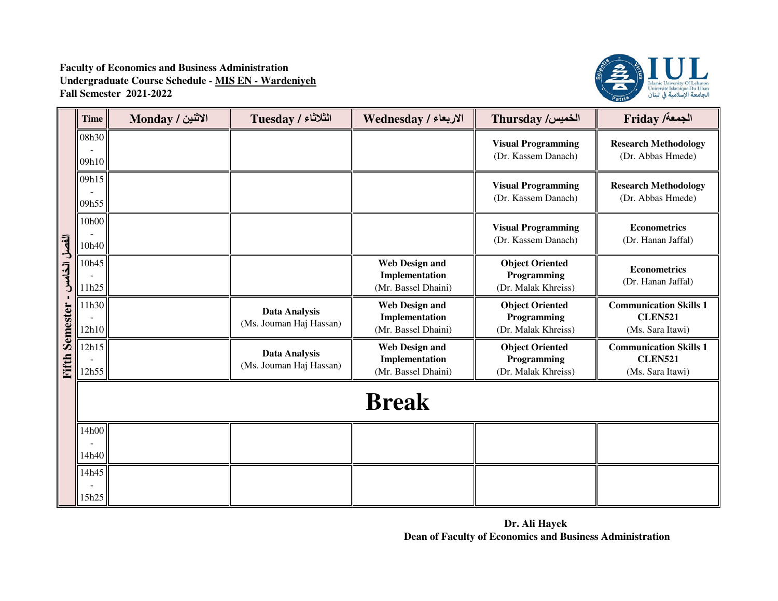

|                       | <b>Time</b>    | الاثنين / Monday | الثلاثاء / Tuesday                              | الاربعاء / Wednesday                                           | Thursday /الخميس                                             | <b>Friday /خمعة</b> /                                               |  |
|-----------------------|----------------|------------------|-------------------------------------------------|----------------------------------------------------------------|--------------------------------------------------------------|---------------------------------------------------------------------|--|
|                       | 08h30<br>09h10 |                  |                                                 |                                                                | <b>Visual Programming</b><br>(Dr. Kassem Danach)             | <b>Research Methodology</b><br>(Dr. Abbas Hmede)                    |  |
|                       | 09h15<br>09h55 |                  |                                                 |                                                                | <b>Visual Programming</b><br>(Dr. Kassem Danach)             | <b>Research Methodology</b><br>(Dr. Abbas Hmede)                    |  |
|                       | 10h00<br>10h40 |                  |                                                 |                                                                | <b>Visual Programming</b><br>(Dr. Kassem Danach)             | <b>Econometrics</b><br>(Dr. Hanan Jaffal)                           |  |
| الفصل الخامس          | 10h45<br>11h25 |                  |                                                 | <b>Web Design and</b><br>Implementation<br>(Mr. Bassel Dhaini) | <b>Object Oriented</b><br>Programming<br>(Dr. Malak Khreiss) | <b>Econometrics</b><br>(Dr. Hanan Jaffal)                           |  |
|                       | 11h30<br>12h10 |                  | <b>Data Analysis</b><br>(Ms. Jouman Haj Hassan) | <b>Web Design and</b><br>Implementation<br>(Mr. Bassel Dhaini) | <b>Object Oriented</b><br>Programming<br>(Dr. Malak Khreiss) | <b>Communication Skills 1</b><br><b>CLEN521</b><br>(Ms. Sara Itawi) |  |
| <b>Fifth Semester</b> | 12h15<br>12h55 |                  | <b>Data Analysis</b><br>(Ms. Jouman Haj Hassan) | <b>Web Design and</b><br>Implementation<br>(Mr. Bassel Dhaini) | <b>Object Oriented</b><br>Programming<br>(Dr. Malak Khreiss) | <b>Communication Skills 1</b><br><b>CLEN521</b><br>(Ms. Sara Itawi) |  |
|                       | <b>Break</b>   |                  |                                                 |                                                                |                                                              |                                                                     |  |
|                       | 14h00<br>14h40 |                  |                                                 |                                                                |                                                              |                                                                     |  |
|                       | 14h45<br>15h25 |                  |                                                 |                                                                |                                                              |                                                                     |  |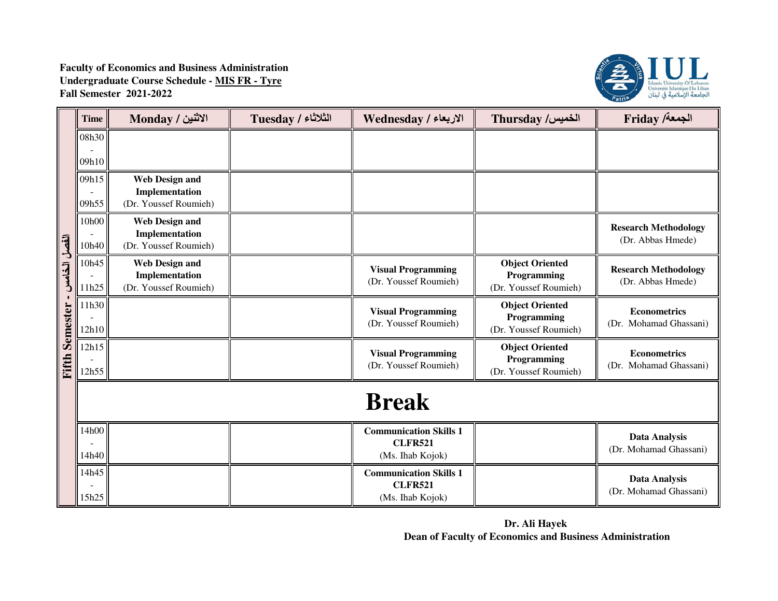**Faculty of Economics and Business Administration Undergraduate Course Schedule - MIS FR - TyreFall Semester 2021-2022**



|                       | <b>Time</b>    | الاثنين / Monday                                                 | الثلاثاء / Tuesday | الاربعاء / Wednesday                                                | <b>Thursday /الخميس</b>                                        | <b>Friday /خمعة</b> /                            |  |  |
|-----------------------|----------------|------------------------------------------------------------------|--------------------|---------------------------------------------------------------------|----------------------------------------------------------------|--------------------------------------------------|--|--|
|                       | 08h30          |                                                                  |                    |                                                                     |                                                                |                                                  |  |  |
|                       | 09h10          |                                                                  |                    |                                                                     |                                                                |                                                  |  |  |
|                       | 09h15          | <b>Web Design and</b><br>Implementation                          |                    |                                                                     |                                                                |                                                  |  |  |
|                       | 09h55          | (Dr. Youssef Roumieh)                                            |                    |                                                                     |                                                                |                                                  |  |  |
|                       | 10h00<br>10h40 | <b>Web Design and</b><br>Implementation<br>(Dr. Youssef Roumieh) |                    |                                                                     |                                                                | <b>Research Methodology</b><br>(Dr. Abbas Hmede) |  |  |
| الفصل الخامسر         | 10h45<br>11h25 | <b>Web Design and</b><br>Implementation<br>(Dr. Youssef Roumieh) |                    | <b>Visual Programming</b><br>(Dr. Youssef Roumieh)                  | <b>Object Oriented</b><br>Programming<br>(Dr. Youssef Roumieh) | <b>Research Methodology</b><br>(Dr. Abbas Hmede) |  |  |
|                       | 11h30<br>12h10 |                                                                  |                    | <b>Visual Programming</b><br>(Dr. Youssef Roumieh)                  | <b>Object Oriented</b><br>Programming<br>(Dr. Youssef Roumieh) | <b>Econometrics</b><br>(Dr. Mohamad Ghassani)    |  |  |
| <b>Fifth Semester</b> | 12h15<br>12h55 |                                                                  |                    | <b>Visual Programming</b><br>(Dr. Youssef Roumieh)                  | <b>Object Oriented</b><br>Programming<br>(Dr. Youssef Roumieh) | <b>Econometrics</b><br>(Dr. Mohamad Ghassani)    |  |  |
|                       | <b>Break</b>   |                                                                  |                    |                                                                     |                                                                |                                                  |  |  |
|                       | 14h00<br>14h40 |                                                                  |                    | <b>Communication Skills 1</b><br><b>CLFR521</b><br>(Ms. Ihab Kojok) |                                                                | <b>Data Analysis</b><br>(Dr. Mohamad Ghassani)   |  |  |
|                       | 14h45<br>15h25 |                                                                  |                    | <b>Communication Skills 1</b><br><b>CLFR521</b><br>(Ms. Ihab Kojok) |                                                                | <b>Data Analysis</b><br>(Dr. Mohamad Ghassani)   |  |  |

**Dr. Ali Hayek Dean of Faculty of Economics and Business Administration**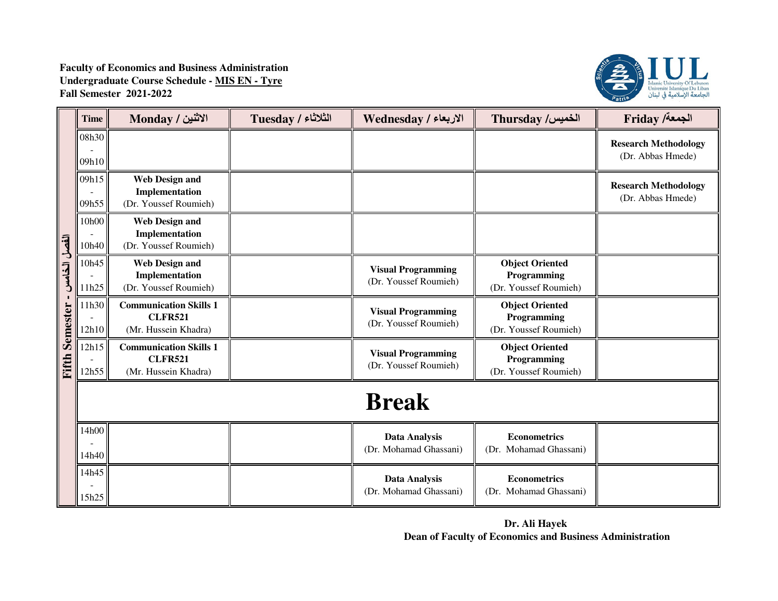**Faculty of Economics and Business Administration Undergraduate Course Schedule - MIS EN - TyreFall Semester 2021-2022**



|                       | <b>Time</b>    | الاثنين / Monday                                                        | الثلاثاء / Tuesday | الاربعاء / Wednesday                               | Thursday /الخميس                                               | Friday /أجمعة                                    |  |
|-----------------------|----------------|-------------------------------------------------------------------------|--------------------|----------------------------------------------------|----------------------------------------------------------------|--------------------------------------------------|--|
|                       | 08h30<br>09h10 |                                                                         |                    |                                                    |                                                                | <b>Research Methodology</b><br>(Dr. Abbas Hmede) |  |
|                       | 09h15<br>09h55 | <b>Web Design and</b><br>Implementation<br>(Dr. Youssef Roumieh)        |                    |                                                    |                                                                | <b>Research Methodology</b><br>(Dr. Abbas Hmede) |  |
|                       | 10h00<br>10h40 | <b>Web Design and</b><br>Implementation<br>(Dr. Youssef Roumieh)        |                    |                                                    |                                                                |                                                  |  |
| الفصل الخامس          | 10h45<br>11h25 | <b>Web Design and</b><br>Implementation<br>(Dr. Youssef Roumieh)        |                    | <b>Visual Programming</b><br>(Dr. Youssef Roumieh) | <b>Object Oriented</b><br>Programming<br>(Dr. Youssef Roumieh) |                                                  |  |
|                       | 11h30<br>12h10 | <b>Communication Skills 1</b><br><b>CLFR521</b><br>(Mr. Hussein Khadra) |                    | <b>Visual Programming</b><br>(Dr. Youssef Roumieh) | <b>Object Oriented</b><br>Programming<br>(Dr. Youssef Roumieh) |                                                  |  |
| <b>Fifth Semester</b> | 12h15<br>12h55 | <b>Communication Skills 1</b><br><b>CLFR521</b><br>(Mr. Hussein Khadra) |                    | <b>Visual Programming</b><br>(Dr. Youssef Roumieh) | <b>Object Oriented</b><br>Programming<br>(Dr. Youssef Roumieh) |                                                  |  |
|                       | <b>Break</b>   |                                                                         |                    |                                                    |                                                                |                                                  |  |
|                       | 14h00<br>14h40 |                                                                         |                    | <b>Data Analysis</b><br>(Dr. Mohamad Ghassani)     | <b>Econometrics</b><br>(Dr. Mohamad Ghassani)                  |                                                  |  |
|                       | 14h45<br>15h25 |                                                                         |                    | <b>Data Analysis</b><br>(Dr. Mohamad Ghassani)     | <b>Econometrics</b><br>(Dr. Mohamad Ghassani)                  |                                                  |  |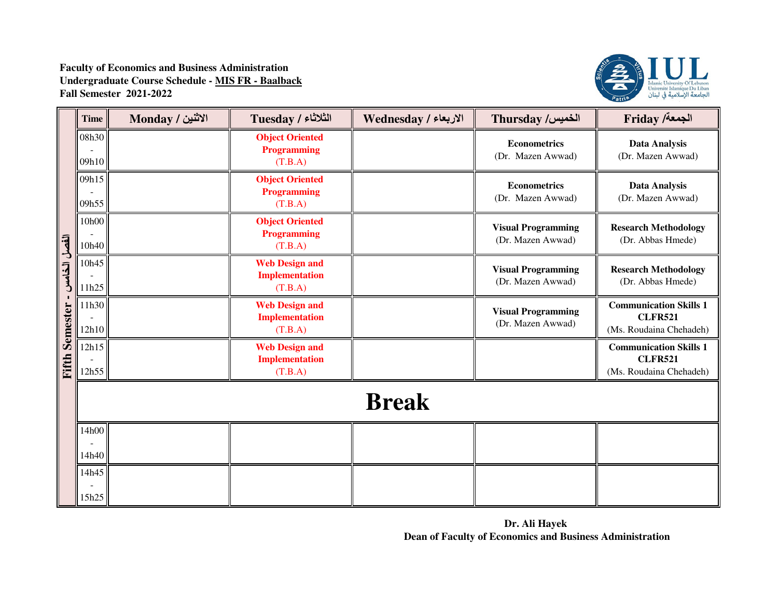

|                 | <b>Time</b>    | الاثنين / Monday | الثلاثاء / Tuesday                                        | الاربعاء / Wednesday | Thursday /الخميس                               | Friday /ألجمعة                                                             |  |  |
|-----------------|----------------|------------------|-----------------------------------------------------------|----------------------|------------------------------------------------|----------------------------------------------------------------------------|--|--|
|                 | 08h30<br>09h10 |                  | <b>Object Oriented</b><br><b>Programming</b><br>(T.B.A)   |                      | <b>Econometrics</b><br>(Dr. Mazen Awwad)       | <b>Data Analysis</b><br>(Dr. Mazen Awwad)                                  |  |  |
|                 | 09h15<br>09h55 |                  | <b>Object Oriented</b><br><b>Programming</b><br>(T.B.A)   |                      | <b>Econometrics</b><br>(Dr. Mazen Awwad)       | <b>Data Analysis</b><br>(Dr. Mazen Awwad)                                  |  |  |
|                 | 10h00<br>10h40 |                  | <b>Object Oriented</b><br><b>Programming</b><br>(T.B.A)   |                      | <b>Visual Programming</b><br>(Dr. Mazen Awwad) | <b>Research Methodology</b><br>(Dr. Abbas Hmede)                           |  |  |
| الفصل الخامس    | 10h45<br>11h25 |                  | <b>Web Design and</b><br><b>Implementation</b><br>(T.B.A) |                      | <b>Visual Programming</b><br>(Dr. Mazen Awwad) | <b>Research Methodology</b><br>(Dr. Abbas Hmede)                           |  |  |
| <b>Semester</b> | 11h30<br>12h10 |                  | <b>Web Design and</b><br><b>Implementation</b><br>(T.B.A) |                      | <b>Visual Programming</b><br>(Dr. Mazen Awwad) | <b>Communication Skills 1</b><br><b>CLFR521</b><br>(Ms. Roudaina Chehadeh) |  |  |
| Fifth           | 12h15<br>12h55 |                  | <b>Web Design and</b><br><b>Implementation</b><br>(T.B.A) |                      |                                                | <b>Communication Skills 1</b><br><b>CLFR521</b><br>(Ms. Roudaina Chehadeh) |  |  |
|                 | <b>Break</b>   |                  |                                                           |                      |                                                |                                                                            |  |  |
|                 | 14h00<br>14h40 |                  |                                                           |                      |                                                |                                                                            |  |  |
|                 | 14h45<br>15h25 |                  |                                                           |                      |                                                |                                                                            |  |  |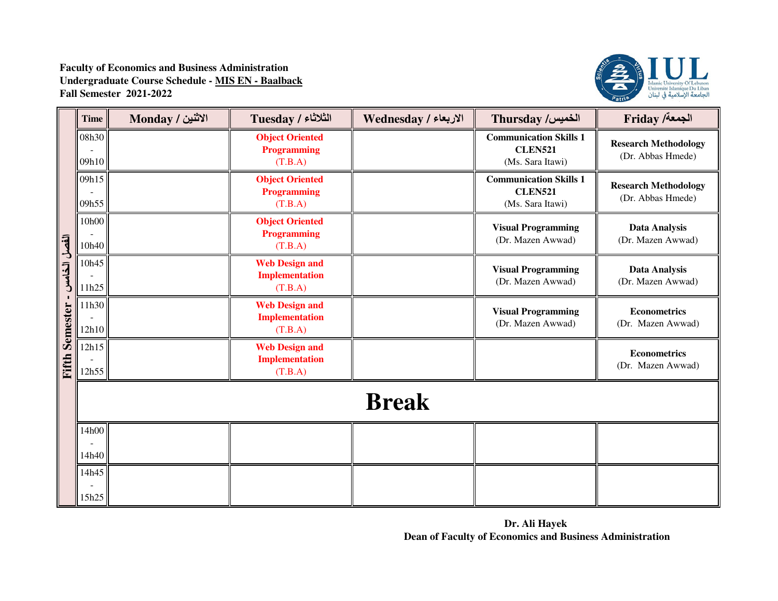

|                 | <b>Time</b>    | الاثنين / Monday | الثلاثاء / Tuesday                                        | الاربعاء / Wednesday | Thursday /الخميس                                                    | Friday /ألجمعة                                   |  |  |
|-----------------|----------------|------------------|-----------------------------------------------------------|----------------------|---------------------------------------------------------------------|--------------------------------------------------|--|--|
|                 | 08h30<br>09h10 |                  | <b>Object Oriented</b><br><b>Programming</b><br>(T.B.A)   |                      | <b>Communication Skills 1</b><br><b>CLEN521</b><br>(Ms. Sara Itawi) | <b>Research Methodology</b><br>(Dr. Abbas Hmede) |  |  |
|                 | 09h15<br>09h55 |                  | <b>Object Oriented</b><br><b>Programming</b><br>(T.B.A)   |                      | <b>Communication Skills 1</b><br><b>CLEN521</b><br>(Ms. Sara Itawi) | <b>Research Methodology</b><br>(Dr. Abbas Hmede) |  |  |
|                 | 10h00<br>10h40 |                  | <b>Object Oriented</b><br><b>Programming</b><br>(T.B.A)   |                      | <b>Visual Programming</b><br>(Dr. Mazen Awwad)                      | <b>Data Analysis</b><br>(Dr. Mazen Awwad)        |  |  |
| الفصل الخامس    | 10h45<br>11h25 |                  | <b>Web Design and</b><br><b>Implementation</b><br>(T.B.A) |                      | <b>Visual Programming</b><br>(Dr. Mazen Awwad)                      | <b>Data Analysis</b><br>(Dr. Mazen Awwad)        |  |  |
| <b>Semester</b> | 11h30<br>12h10 |                  | <b>Web Design and</b><br><b>Implementation</b><br>(T.B.A) |                      | <b>Visual Programming</b><br>(Dr. Mazen Awwad)                      | <b>Econometrics</b><br>(Dr. Mazen Awwad)         |  |  |
| Fifth           | 12h15<br>12h55 |                  | <b>Web Design and</b><br><b>Implementation</b><br>(T.B.A) |                      |                                                                     | <b>Econometrics</b><br>(Dr. Mazen Awwad)         |  |  |
|                 | <b>Break</b>   |                  |                                                           |                      |                                                                     |                                                  |  |  |
|                 | 14h00<br>14h40 |                  |                                                           |                      |                                                                     |                                                  |  |  |
|                 | 14h45<br>15h25 |                  |                                                           |                      |                                                                     |                                                  |  |  |